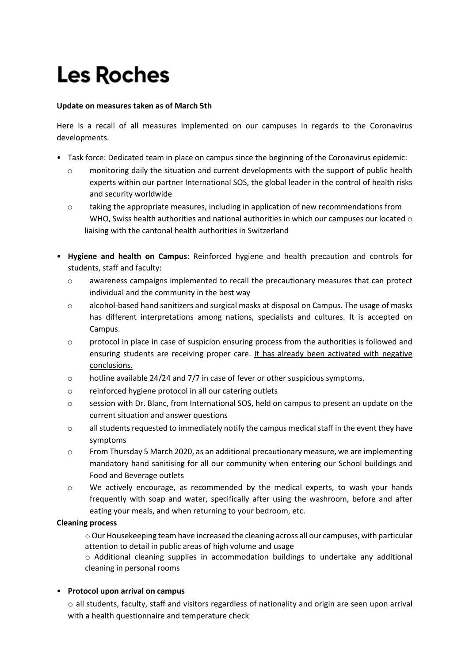# **Les Roches**

## **Update on measures taken as of March 5th**

Here is a recall of all measures implemented on our campuses in regards to the Coronavirus developments.

- Task force: Dedicated team in place on campus since the beginning of the Coronavirus epidemic:
	- $\circ$  monitoring daily the situation and current developments with the support of public health experts within our partner International SOS, the global leader in the control of health risks and security worldwide
	- o taking the appropriate measures, including in application of new recommendations from WHO, Swiss health authorities and national authorities in which our campuses our located  $\circ$ liaising with the cantonal health authorities in Switzerland
- **Hygiene and health on Campus**: Reinforced hygiene and health precaution and controls for students, staff and faculty:
	- o awareness campaigns implemented to recall the precautionary measures that can protect individual and the community in the best way
	- o alcohol-based hand sanitizers and surgical masks at disposal on Campus. The usage of masks has different interpretations among nations, specialists and cultures. It is accepted on Campus.
	- o protocol in place in case of suspicion ensuring process from the authorities is followed and ensuring students are receiving proper care. It has already been activated with negative conclusions.
	- $\circ$  hotline available 24/24 and 7/7 in case of fever or other suspicious symptoms.
	- o reinforced hygiene protocol in all our catering outlets
	- o session with Dr. Blanc, from International SOS, held on campus to present an update on the current situation and answer questions
	- $\circ$  all students requested to immediately notify the campus medical staff in the event they have symptoms
	- $\circ$  From Thursday 5 March 2020, as an additional precautionary measure, we are implementing mandatory hand sanitising for all our community when entering our School buildings and Food and Beverage outlets
	- o We actively encourage, as recommended by the medical experts, to wash your hands frequently with soap and water, specifically after using the washroom, before and after eating your meals, and when returning to your bedroom, etc.

#### **Cleaning process**

o Our Housekeeping team have increased the cleaning across all our campuses, with particular attention to detail in public areas of high volume and usage

 $\circ$  Additional cleaning supplies in accommodation buildings to undertake any additional cleaning in personal rooms

## • **Protocol upon arrival on campus**

o all students, faculty, staff and visitors regardless of nationality and origin are seen upon arrival with a health questionnaire and temperature check